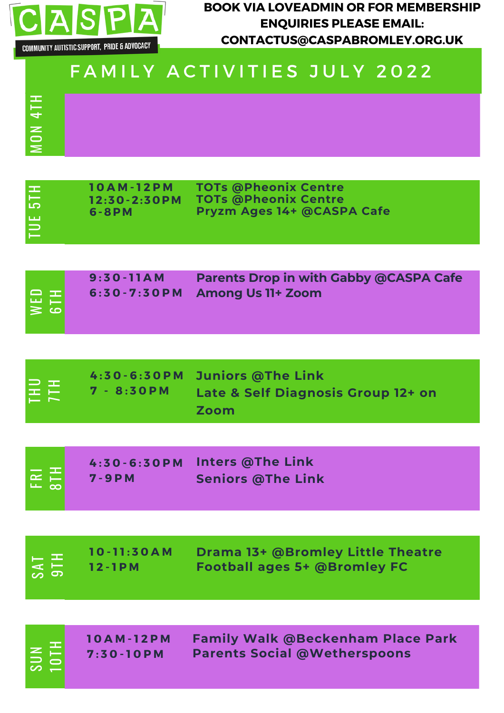

 $\geq$  $\bf\bf\bf\bf\bf\bf\bf\bf\bf\bf\bf\bf\bf\bf\bf\bf\bf$ N4 TH **BOOK VIA LOVEADMIN OR FOR MEMBERSHIP ENQUIRIES PLEASE EMAIL: CONTACTUS@CASPABROMLEY.ORG.UK**

## FAMILY ACTIVITIES JULY 2022

| <b>TUE 5TH</b>          | <b>10AM-12PM</b><br>$12:30 - 2:30$ PM<br>$6 - 8 P M$ | <b>TOTs @Pheonix Centre</b><br><b>TOTs @Pheonix Centre</b><br>Pryzm Ages 14+ @CASPA Cafe |
|-------------------------|------------------------------------------------------|------------------------------------------------------------------------------------------|
|                         |                                                      |                                                                                          |
| $\overline{110}$<br>WED | $9:30-11AM$<br>$6:30 - 7:30P$ M                      | <b>Parents Drop in with Gabby @CASPA Cafe</b><br><b>Among Us 11+ Zoom</b>                |
|                         |                                                      |                                                                                          |
| EÉ                      | $4:30 - 6:30 P M$<br>$7 - 8:30$ PM                   | <b>Juniors @The Link</b><br>Late & Self Diagnosis Group 12+ on<br>Zoom                   |
|                         |                                                      |                                                                                          |
| $E = \frac{1}{2}$       | $4:30 - 6:30 P M$<br>$7 - 9 P M$                     | <b>Inters @The Link</b><br><b>Seniors @The Link</b>                                      |
|                         |                                                      |                                                                                          |
|                         | $10 - 11:30AM$<br>$12 - 1P M$                        | Drama 13+ @Bromley Little Theatre<br><b>Football ages 5+ @Bromley FC</b>                 |
|                         |                                                      |                                                                                          |
| SUN                     | $10AM-12PM$<br>$7:30 - 10$ PM                        | <b>Family Walk @Beckenham Place Park</b><br><b>Parents Social @Wetherspoons</b>          |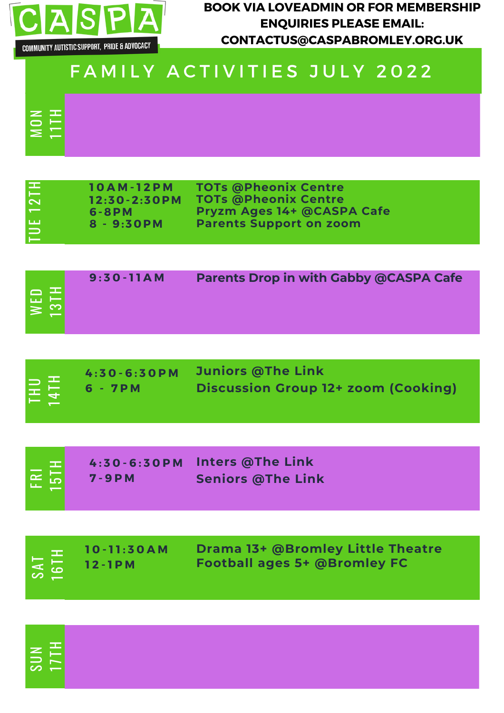

 $\geq$  $\bf\bf\bf\bf\bf\bf\bf\bf\bf\bf\bf\bf\bf\bf\bf\bf$ N

တ  $\overline{\phantom{0}}$  $\,$  17  $\overline{\phantom{0}}$ H

 $\Xi$  : H

**BOOK VIA LOVEADMIN OR FOR MEMBERSHIP ENQUIRIES PLEASE EMAIL: CONTACTUS@CASPABROMLEY.ORG.UK**

## FAMILY ACTIVITIES JULY 2022

| <b>TUE 12TH</b>                            | $10AM-12PM$<br>$12:30 - 2:30$ PM<br>6-8PM<br>8 - 9:30PM | <b>TOTs @Pheonix Centre</b><br><b>TOTs @Pheonix Centre</b><br>Pryzm Ages 14+ @CASPA Cafe<br><b>Parents Support on zoom</b> |
|--------------------------------------------|---------------------------------------------------------|----------------------------------------------------------------------------------------------------------------------------|
|                                            |                                                         |                                                                                                                            |
| WED<br>13TH                                | $9:30-11AM$                                             | <b>Parents Drop in with Gabby @CASPA Cafe</b>                                                                              |
|                                            |                                                         |                                                                                                                            |
| 411<br>(≍                                  | $4:30 - 6:30 P M$<br>6 - 7PM                            | <b>Juniors @The Link</b><br><b>Discussion Group 12+ zoom (Cooking)</b>                                                     |
|                                            |                                                         |                                                                                                                            |
| FRI<br><b>5TH</b>                          | $4:30 - 6:30 P M$<br>$7 - 9 P M$                        | <b>Inters @The Link</b><br><b>Seniors @The Link</b>                                                                        |
|                                            |                                                         |                                                                                                                            |
| H<br>T61H<br>$\overline{I}$ $\overline{S}$ | $10 - 11:30AM$<br>$12 - 1P M$                           | <b>Drama 13+ @Bromley Little Theatre</b><br><b>Football ages 5+ @Bromley FC</b>                                            |